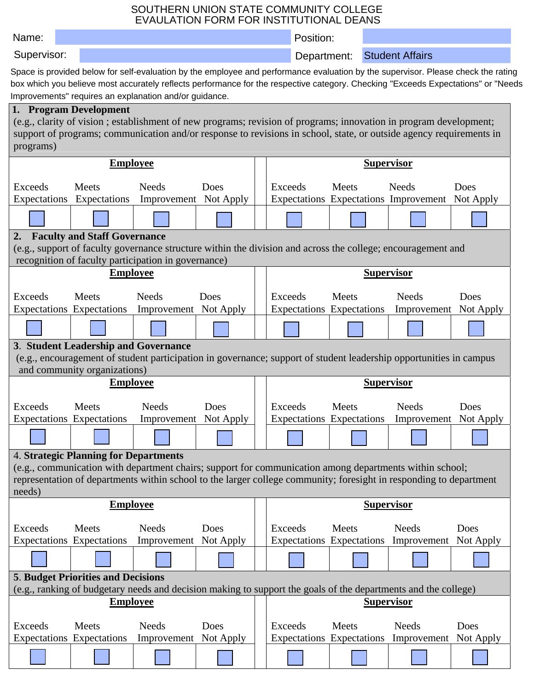## SOUTHERN UNION STATE COMMUNITY COLLEGE EVAULATION FORM FOR INSTITUTIONAL DEANS

| Name:                                                                                                                                              |                                                                                                                                                                                                                                          |                                       |           |  | Position:                                                                                                                         |       |  |                                                 |           |  |  |
|----------------------------------------------------------------------------------------------------------------------------------------------------|------------------------------------------------------------------------------------------------------------------------------------------------------------------------------------------------------------------------------------------|---------------------------------------|-----------|--|-----------------------------------------------------------------------------------------------------------------------------------|-------|--|-------------------------------------------------|-----------|--|--|
| Supervisor:                                                                                                                                        |                                                                                                                                                                                                                                          |                                       |           |  | Department:                                                                                                                       |       |  | <b>Student Affairs</b>                          |           |  |  |
|                                                                                                                                                    |                                                                                                                                                                                                                                          |                                       |           |  | Space is provided below for self-evaluation by the employee and performance evaluation by the supervisor. Please check the rating |       |  |                                                 |           |  |  |
|                                                                                                                                                    | box which you believe most accurately reflects performance for the respective category. Checking "Exceeds Expectations" or "Needs                                                                                                        |                                       |           |  |                                                                                                                                   |       |  |                                                 |           |  |  |
|                                                                                                                                                    | Improvements" requires an explanation and/or guidance.                                                                                                                                                                                   |                                       |           |  |                                                                                                                                   |       |  |                                                 |           |  |  |
|                                                                                                                                                    | 1. Program Development                                                                                                                                                                                                                   |                                       |           |  |                                                                                                                                   |       |  |                                                 |           |  |  |
|                                                                                                                                                    | (e.g., clarity of vision; establishment of new programs; revision of programs; innovation in program development;<br>support of programs; communication and/or response to revisions in school, state, or outside agency requirements in |                                       |           |  |                                                                                                                                   |       |  |                                                 |           |  |  |
| programs)                                                                                                                                          |                                                                                                                                                                                                                                          |                                       |           |  |                                                                                                                                   |       |  |                                                 |           |  |  |
| <b>Employee</b>                                                                                                                                    |                                                                                                                                                                                                                                          |                                       |           |  | <b>Supervisor</b>                                                                                                                 |       |  |                                                 |           |  |  |
| <b>Exceeds</b>                                                                                                                                     | Meets                                                                                                                                                                                                                                    | <b>Needs</b>                          | Does      |  | Exceeds                                                                                                                           | Meets |  | <b>Needs</b>                                    | Does      |  |  |
| Expectations                                                                                                                                       | Expectations                                                                                                                                                                                                                             | Improvement Not Apply                 |           |  |                                                                                                                                   |       |  | Expectations Expectations Improvement Not Apply |           |  |  |
|                                                                                                                                                    |                                                                                                                                                                                                                                          |                                       |           |  |                                                                                                                                   |       |  |                                                 |           |  |  |
|                                                                                                                                                    |                                                                                                                                                                                                                                          |                                       |           |  |                                                                                                                                   |       |  |                                                 |           |  |  |
| 2.                                                                                                                                                 | <b>Faculty and Staff Governance</b><br>(e.g., support of faculty governance structure within the division and across the college; encouragement and                                                                                      |                                       |           |  |                                                                                                                                   |       |  |                                                 |           |  |  |
|                                                                                                                                                    | recognition of faculty participation in governance)                                                                                                                                                                                      |                                       |           |  |                                                                                                                                   |       |  |                                                 |           |  |  |
|                                                                                                                                                    | <b>Employee</b>                                                                                                                                                                                                                          |                                       |           |  |                                                                                                                                   |       |  | <b>Supervisor</b>                               |           |  |  |
|                                                                                                                                                    |                                                                                                                                                                                                                                          |                                       |           |  |                                                                                                                                   |       |  |                                                 |           |  |  |
| <b>Exceeds</b>                                                                                                                                     | Meets<br><b>Expectations</b> Expectations                                                                                                                                                                                                | <b>Needs</b><br>Improvement Not Apply | Does      |  | Exceeds<br>Expectations Expectations                                                                                              | Meets |  | <b>Needs</b><br>Improvement Not Apply           | Does      |  |  |
|                                                                                                                                                    |                                                                                                                                                                                                                                          |                                       |           |  |                                                                                                                                   |       |  |                                                 |           |  |  |
|                                                                                                                                                    |                                                                                                                                                                                                                                          |                                       |           |  |                                                                                                                                   |       |  |                                                 |           |  |  |
| 3. Student Leadership and Governance                                                                                                               |                                                                                                                                                                                                                                          |                                       |           |  |                                                                                                                                   |       |  |                                                 |           |  |  |
| (e.g., encouragement of student participation in governance; support of student leadership opportunities in campus<br>and community organizations) |                                                                                                                                                                                                                                          |                                       |           |  |                                                                                                                                   |       |  |                                                 |           |  |  |
| <b>Employee</b>                                                                                                                                    |                                                                                                                                                                                                                                          |                                       |           |  | <b>Supervisor</b>                                                                                                                 |       |  |                                                 |           |  |  |
|                                                                                                                                                    |                                                                                                                                                                                                                                          |                                       |           |  |                                                                                                                                   |       |  |                                                 |           |  |  |
| <b>Exceeds</b>                                                                                                                                     | Meets<br><b>Expectations Expectations</b>                                                                                                                                                                                                | <b>Needs</b><br>Improvement Not Apply | Does      |  | Exceeds<br><b>Expectations</b> Expectations                                                                                       | Meets |  | Needs<br>Improvement Not Apply                  | Does      |  |  |
|                                                                                                                                                    |                                                                                                                                                                                                                                          |                                       |           |  |                                                                                                                                   |       |  |                                                 |           |  |  |
|                                                                                                                                                    |                                                                                                                                                                                                                                          |                                       |           |  |                                                                                                                                   |       |  |                                                 |           |  |  |
|                                                                                                                                                    | <b>4. Strategic Planning for Departments</b>                                                                                                                                                                                             |                                       |           |  |                                                                                                                                   |       |  |                                                 |           |  |  |
| (e.g., communication with department chairs; support for communication among departments within school;                                            |                                                                                                                                                                                                                                          |                                       |           |  |                                                                                                                                   |       |  |                                                 |           |  |  |
| representation of departments within school to the larger college community; foresight in responding to department<br>needs)                       |                                                                                                                                                                                                                                          |                                       |           |  |                                                                                                                                   |       |  |                                                 |           |  |  |
| <b>Employee</b>                                                                                                                                    |                                                                                                                                                                                                                                          |                                       |           |  | <b>Supervisor</b>                                                                                                                 |       |  |                                                 |           |  |  |
| <b>Exceeds</b>                                                                                                                                     | Meets                                                                                                                                                                                                                                    | <b>Needs</b>                          | Does      |  | Exceeds                                                                                                                           | Meets |  | <b>Needs</b>                                    | Does      |  |  |
|                                                                                                                                                    | <b>Expectations</b> Expectations                                                                                                                                                                                                         | Improvement                           | Not Apply |  | Expectations Expectations                                                                                                         |       |  | Improvement                                     | Not Apply |  |  |
|                                                                                                                                                    |                                                                                                                                                                                                                                          |                                       |           |  |                                                                                                                                   |       |  |                                                 |           |  |  |
|                                                                                                                                                    | <b>5. Budget Priorities and Decisions</b>                                                                                                                                                                                                |                                       |           |  |                                                                                                                                   |       |  |                                                 |           |  |  |
|                                                                                                                                                    | (e.g., ranking of budgetary needs and decision making to support the goals of the departments and the college)                                                                                                                           |                                       |           |  |                                                                                                                                   |       |  |                                                 |           |  |  |
| <b>Employee</b>                                                                                                                                    |                                                                                                                                                                                                                                          |                                       |           |  | <b>Supervisor</b>                                                                                                                 |       |  |                                                 |           |  |  |
| <b>Exceeds</b>                                                                                                                                     | Meets                                                                                                                                                                                                                                    | <b>Needs</b>                          | Does      |  | Exceeds                                                                                                                           | Meets |  | <b>Needs</b>                                    | Does      |  |  |
|                                                                                                                                                    | <b>Expectations</b> Expectations                                                                                                                                                                                                         | Improvement Not Apply                 |           |  | Expectations Expectations                                                                                                         |       |  | Improvement                                     | Not Apply |  |  |
|                                                                                                                                                    |                                                                                                                                                                                                                                          |                                       |           |  |                                                                                                                                   |       |  |                                                 |           |  |  |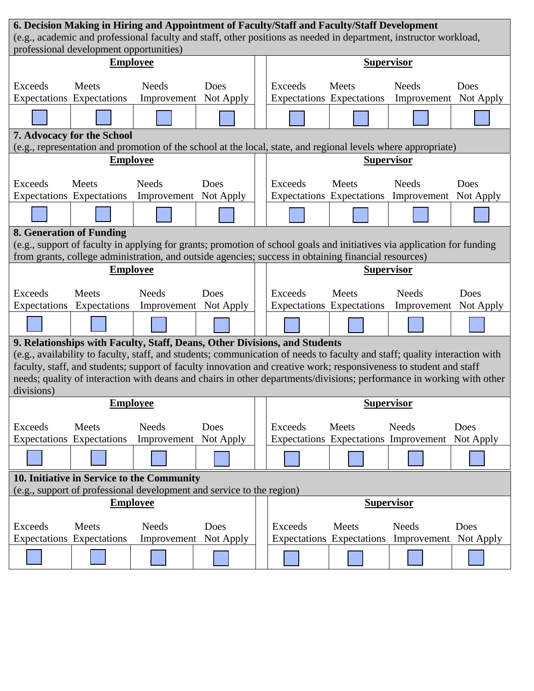|                                                                                                                                                              | 6. Decision Making in Hiring and Appointment of Faculty/Staff and Faculty/Staff Development          |                                                                                                                         |           |  |                                                                                                               |                                  |                                       |           |  |
|--------------------------------------------------------------------------------------------------------------------------------------------------------------|------------------------------------------------------------------------------------------------------|-------------------------------------------------------------------------------------------------------------------------|-----------|--|---------------------------------------------------------------------------------------------------------------|----------------------------------|---------------------------------------|-----------|--|
| (e.g., academic and professional faculty and staff, other positions as needed in department, instructor workload,<br>professional development opportunities) |                                                                                                      |                                                                                                                         |           |  |                                                                                                               |                                  |                                       |           |  |
|                                                                                                                                                              | <b>Employee</b>                                                                                      |                                                                                                                         |           |  |                                                                                                               |                                  |                                       |           |  |
|                                                                                                                                                              |                                                                                                      |                                                                                                                         |           |  | <b>Supervisor</b>                                                                                             |                                  |                                       |           |  |
| Exceeds                                                                                                                                                      | Meets                                                                                                | <b>Needs</b>                                                                                                            | Does      |  | <b>Exceeds</b>                                                                                                | Meets                            | <b>Needs</b>                          | Does      |  |
| <b>Expectations</b> Expectations                                                                                                                             |                                                                                                      | Improvement Not Apply                                                                                                   |           |  |                                                                                                               | Expectations Expectations        | Improvement Not Apply                 |           |  |
|                                                                                                                                                              |                                                                                                      |                                                                                                                         |           |  |                                                                                                               |                                  |                                       |           |  |
|                                                                                                                                                              | 7. Advocacy for the School                                                                           |                                                                                                                         |           |  |                                                                                                               |                                  |                                       |           |  |
|                                                                                                                                                              |                                                                                                      |                                                                                                                         |           |  | (e.g., representation and promotion of the school at the local, state, and regional levels where appropriate) |                                  |                                       |           |  |
|                                                                                                                                                              |                                                                                                      | <b>Employee</b>                                                                                                         |           |  | <b>Supervisor</b>                                                                                             |                                  |                                       |           |  |
| Exceeds                                                                                                                                                      | Meets                                                                                                | <b>Needs</b>                                                                                                            | Does      |  | <b>Exceeds</b>                                                                                                | Meets                            | <b>Needs</b>                          | Does      |  |
| <b>Expectations Expectations</b>                                                                                                                             |                                                                                                      | Improvement                                                                                                             | Not Apply |  |                                                                                                               |                                  | Expectations Expectations Improvement | Not Apply |  |
|                                                                                                                                                              |                                                                                                      |                                                                                                                         |           |  |                                                                                                               |                                  |                                       |           |  |
| 8. Generation of Funding                                                                                                                                     |                                                                                                      |                                                                                                                         |           |  |                                                                                                               |                                  |                                       |           |  |
|                                                                                                                                                              |                                                                                                      | (e.g., support of faculty in applying for grants; promotion of school goals and initiatives via application for funding |           |  |                                                                                                               |                                  |                                       |           |  |
|                                                                                                                                                              | from grants, college administration, and outside agencies; success in obtaining financial resources) |                                                                                                                         |           |  |                                                                                                               |                                  |                                       |           |  |
| <b>Employee</b>                                                                                                                                              |                                                                                                      |                                                                                                                         |           |  | <b>Supervisor</b>                                                                                             |                                  |                                       |           |  |
| <b>Exceeds</b>                                                                                                                                               | Meets                                                                                                | <b>Needs</b>                                                                                                            | Does      |  | Exceeds                                                                                                       | Meets                            | <b>Needs</b>                          | Does      |  |
| Expectations                                                                                                                                                 |                                                                                                      | Expectations Improvement Not Apply                                                                                      |           |  |                                                                                                               | Expectations Expectations        | Improvement                           | Not Apply |  |
|                                                                                                                                                              |                                                                                                      |                                                                                                                         |           |  |                                                                                                               |                                  |                                       |           |  |
|                                                                                                                                                              |                                                                                                      | 9. Relationships with Faculty, Staff, Deans, Other Divisions, and Students                                              |           |  |                                                                                                               |                                  |                                       |           |  |
| (e.g., availability to faculty, staff, and students; communication of needs to faculty and staff; quality interaction with                                   |                                                                                                      |                                                                                                                         |           |  |                                                                                                               |                                  |                                       |           |  |
| faculty, staff, and students; support of faculty innovation and creative work; responsiveness to student and staff                                           |                                                                                                      |                                                                                                                         |           |  |                                                                                                               |                                  |                                       |           |  |
| needs; quality of interaction with deans and chairs in other departments/divisions; performance in working with other<br>divisions)                          |                                                                                                      |                                                                                                                         |           |  |                                                                                                               |                                  |                                       |           |  |
|                                                                                                                                                              | <b>Employee</b>                                                                                      |                                                                                                                         |           |  |                                                                                                               | <b>Supervisor</b>                |                                       |           |  |
| <b>Exceeds</b>                                                                                                                                               | Meets                                                                                                | <b>Needs</b>                                                                                                            | Does      |  | Exceeds                                                                                                       | Meets                            | <b>Needs</b>                          | Does      |  |
| <b>Expectations</b> Expectations                                                                                                                             |                                                                                                      | Improvement                                                                                                             | Not Apply |  |                                                                                                               |                                  | Expectations Expectations Improvement | Not Apply |  |
|                                                                                                                                                              |                                                                                                      |                                                                                                                         |           |  |                                                                                                               |                                  |                                       |           |  |
|                                                                                                                                                              |                                                                                                      | 10. Initiative in Service to the Community                                                                              |           |  |                                                                                                               |                                  |                                       |           |  |
|                                                                                                                                                              |                                                                                                      | (e.g., support of professional development and service to the region)                                                   |           |  |                                                                                                               |                                  |                                       |           |  |
|                                                                                                                                                              |                                                                                                      | <b>Employee</b>                                                                                                         |           |  |                                                                                                               |                                  | <b>Supervisor</b>                     |           |  |
| <b>Exceeds</b>                                                                                                                                               | Meets                                                                                                | <b>Needs</b>                                                                                                            | Does      |  | Exceeds                                                                                                       | Meets                            | <b>Needs</b>                          | Does      |  |
| <b>Expectations</b> Expectations                                                                                                                             |                                                                                                      | Improvement                                                                                                             | Not Apply |  |                                                                                                               | <b>Expectations</b> Expectations | Improvement                           | Not Apply |  |
|                                                                                                                                                              |                                                                                                      |                                                                                                                         |           |  |                                                                                                               |                                  |                                       |           |  |